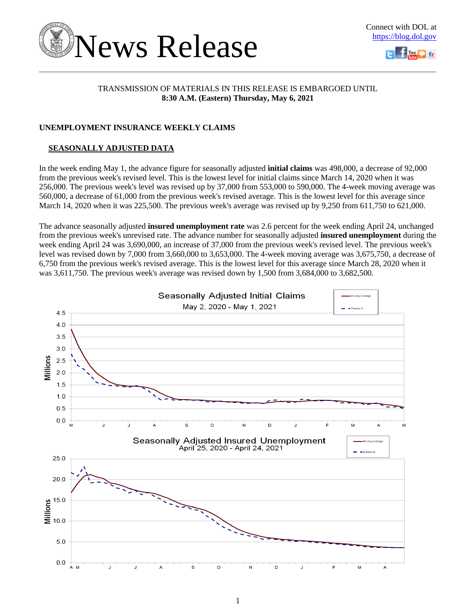



### TRANSMISSION OF MATERIALS IN THIS RELEASE IS EMBARGOED UNTIL **8:30 A.M. (Eastern) Thursday, May 6, 2021**

### **UNEMPLOYMENT INSURANCE WEEKLY CLAIMS**

### **SEASONALLY ADJUSTED DATA**

In the week ending May 1, the advance figure for seasonally adjusted **initial claims** was 498,000, a decrease of 92,000 from the previous week's revised level. This is the lowest level for initial claims since March 14, 2020 when it was 256,000. The previous week's level was revised up by 37,000 from 553,000 to 590,000. The 4-week moving average was 560,000, a decrease of 61,000 from the previous week's revised average. This is the lowest level for this average since March 14, 2020 when it was 225,500. The previous week's average was revised up by 9,250 from 611,750 to 621,000.

The advance seasonally adjusted **insured unemployment rate** was 2.6 percent for the week ending April 24, unchanged from the previous week's unrevised rate. The advance number for seasonally adjusted **insured unemployment** during the week ending April 24 was 3,690,000, an increase of 37,000 from the previous week's revised level. The previous week's level was revised down by 7,000 from 3,660,000 to 3,653,000. The 4-week moving average was 3,675,750, a decrease of 6,750 from the previous week's revised average. This is the lowest level for this average since March 28, 2020 when it was 3,611,750. The previous week's average was revised down by 1,500 from 3,684,000 to 3,682,500.

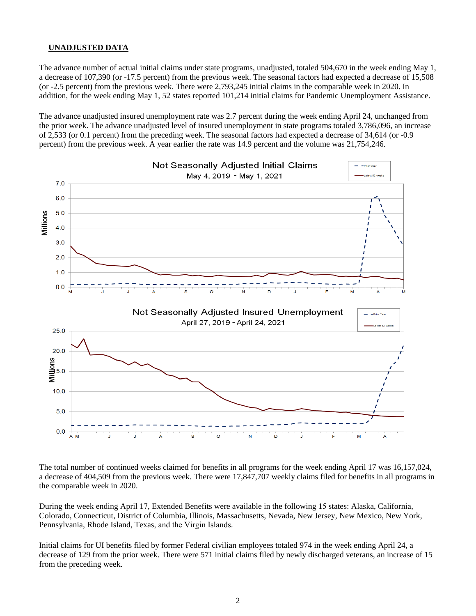### **UNADJUSTED DATA**

The advance number of actual initial claims under state programs, unadjusted, totaled 504,670 in the week ending May 1, a decrease of 107,390 (or -17.5 percent) from the previous week. The seasonal factors had expected a decrease of 15,508 (or -2.5 percent) from the previous week. There were 2,793,245 initial claims in the comparable week in 2020. In addition, for the week ending May 1, 52 states reported 101,214 initial claims for Pandemic Unemployment Assistance.

The advance unadjusted insured unemployment rate was 2.7 percent during the week ending April 24, unchanged from the prior week. The advance unadjusted level of insured unemployment in state programs totaled 3,786,096, an increase of 2,533 (or 0.1 percent) from the preceding week. The seasonal factors had expected a decrease of 34,614 (or -0.9 percent) from the previous week. A year earlier the rate was 14.9 percent and the volume was 21,754,246.



The total number of continued weeks claimed for benefits in all programs for the week ending April 17 was 16,157,024, a decrease of 404,509 from the previous week. There were 17,847,707 weekly claims filed for benefits in all programs in the comparable week in 2020.

During the week ending April 17, Extended Benefits were available in the following 15 states: Alaska, California, Colorado, Connecticut, District of Columbia, Illinois, Massachusetts, Nevada, New Jersey, New Mexico, New York, Pennsylvania, Rhode Island, Texas, and the Virgin Islands.

Initial claims for UI benefits filed by former Federal civilian employees totaled 974 in the week ending April 24, a decrease of 129 from the prior week. There were 571 initial claims filed by newly discharged veterans, an increase of 15 from the preceding week.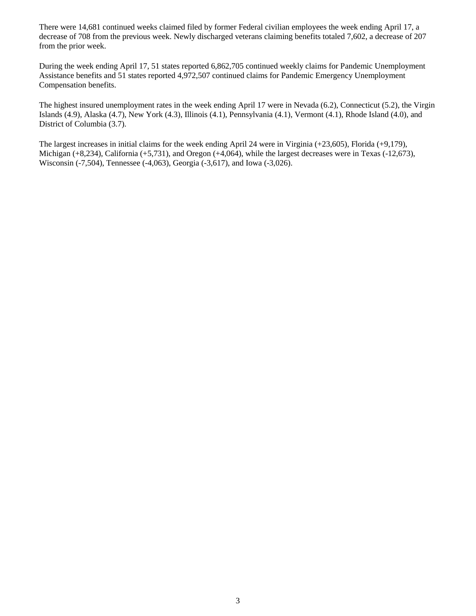There were 14,681 continued weeks claimed filed by former Federal civilian employees the week ending April 17, a decrease of 708 from the previous week. Newly discharged veterans claiming benefits totaled 7,602, a decrease of 207 from the prior week.

During the week ending April 17, 51 states reported 6,862,705 continued weekly claims for Pandemic Unemployment Assistance benefits and 51 states reported 4,972,507 continued claims for Pandemic Emergency Unemployment Compensation benefits.

The highest insured unemployment rates in the week ending April 17 were in Nevada (6.2), Connecticut (5.2), the Virgin Islands (4.9), Alaska (4.7), New York (4.3), Illinois (4.1), Pennsylvania (4.1), Vermont (4.1), Rhode Island (4.0), and District of Columbia (3.7).

The largest increases in initial claims for the week ending April 24 were in Virginia (+23,605), Florida (+9,179), Michigan (+8,234), California (+5,731), and Oregon (+4,064), while the largest decreases were in Texas (-12,673), Wisconsin (-7,504), Tennessee (-4,063), Georgia (-3,617), and Iowa (-3,026).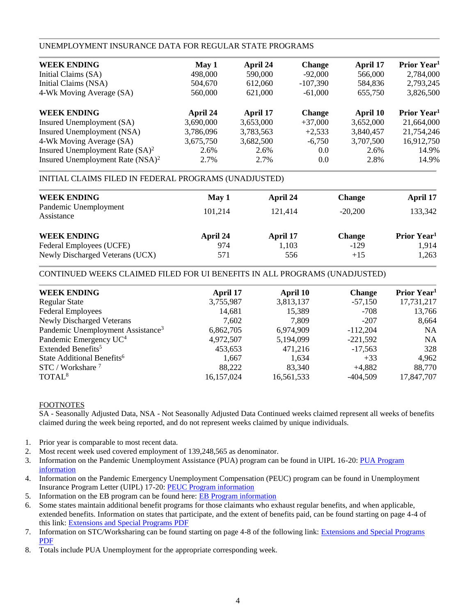### UNEMPLOYMENT INSURANCE DATA FOR REGULAR STATE PROGRAMS

| May 1     | April 24  | <b>Change</b> | April 17  | Prior Year <sup>1</sup> |
|-----------|-----------|---------------|-----------|-------------------------|
| 498,000   | 590,000   | $-92,000$     | 566,000   | 2,784,000               |
| 504,670   | 612,060   | $-107,390$    | 584,836   | 2,793,245               |
| 560,000   | 621,000   | $-61,000$     | 655,750   | 3,826,500               |
| April 24  | April 17  | <b>Change</b> | April 10  | Prior Year <sup>1</sup> |
| 3,690,000 | 3,653,000 | $+37,000$     | 3,652,000 | 21,664,000              |
| 3,786,096 | 3,783,563 | $+2,533$      | 3,840,457 | 21,754,246              |
| 3,675,750 | 3,682,500 | $-6.750$      | 3,707,500 | 16,912,750              |
| 2.6%      | 2.6%      | 0.0           | 2.6%      | 14.9%                   |
| 2.7%      | 2.7%      | 0.0           | 2.8%      | 14.9%                   |
|           |           |               |           |                         |

### INITIAL CLAIMS FILED IN FEDERAL PROGRAMS (UNADJUSTED)

| <b>WEEK ENDING</b><br>Pandemic Unemployment<br>Assistance | May 1<br>101.214 | April 24<br>121.414 | <b>Change</b><br>$-20.200$ | April 17<br>133,342     |
|-----------------------------------------------------------|------------------|---------------------|----------------------------|-------------------------|
| <b>WEEK ENDING</b>                                        | April 24         | April 17            | <b>Change</b>              | Prior Year <sup>1</sup> |
| Federal Employees (UCFE)                                  | 974              | 1,103               | $-129$                     | 1.914                   |
| Newly Discharged Veterans (UCX)                           | 571              | 556                 | $+15$                      | 1,263                   |

### CONTINUED WEEKS CLAIMED FILED FOR UI BENEFITS IN ALL PROGRAMS (UNADJUSTED)

| <b>WEEK ENDING</b>                            | April 17   | April 10   | <b>Change</b> | Prior Year <sup>1</sup> |
|-----------------------------------------------|------------|------------|---------------|-------------------------|
| <b>Regular State</b>                          | 3,755,987  | 3,813,137  | $-57,150$     | 17,731,217              |
| <b>Federal Employees</b>                      | 14,681     | 15,389     | $-708$        | 13,766                  |
| <b>Newly Discharged Veterans</b>              | 7,602      | 7.809      | $-207$        | 8,664                   |
| Pandemic Unemployment Assistance <sup>3</sup> | 6,862,705  | 6,974,909  | $-112,204$    | <b>NA</b>               |
| Pandemic Emergency UC <sup>4</sup>            | 4,972,507  | 5,194,099  | $-221,592$    | <b>NA</b>               |
| Extended Benefits <sup>5</sup>                | 453,653    | 471,216    | $-17,563$     | 328                     |
| State Additional Benefits <sup>6</sup>        | 1,667      | 1,634      | $+33$         | 4,962                   |
| $STC / Workshare$ <sup>7</sup>                | 88.222     | 83.340     | $+4,882$      | 88,770                  |
| TOTAL <sup>8</sup>                            | 16,157,024 | 16,561,533 | $-404,509$    | 17,847,707              |
|                                               |            |            |               |                         |

### FOOTNOTES

SA - Seasonally Adjusted Data, NSA - Not Seasonally Adjusted Data Continued weeks claimed represent all weeks of benefits claimed during the week being reported, and do not represent weeks claimed by unique individuals.

- 1. Prior year is comparable to most recent data.
- 2. Most recent week used covered employment of 139,248,565 as denominator.
- 3. Information on the Pandemic Unemployment Assistance (PUA) program can be found in UIPL 16-20: PUA Program [information](https://wdr.doleta.gov/directives/corr_doc.cfm?DOCN=4628)
- 4. Information on the Pandemic Emergency Unemployment Compensation (PEUC) program can be found in Unemployment Insurance Program Letter (UIPL) 17-20: [PEUC Program information](https://wdr.doleta.gov/directives/corr_doc.cfm?DOCN=8452)
- 5. Information on the EB program can be found here: **EB Program information**
- 6. Some states maintain additional benefit programs for those claimants who exhaust regular benefits, and when applicable, extended benefits. Information on states that participate, and the extent of benefits paid, can be found starting on page 4-4 of this link: [Extensions and Special Programs PDF](https://oui.doleta.gov/unemploy/pdf/uilawcompar/2020/special.pdf#page=4)
- 7. Information on STC/Worksharing can be found starting on page 4-8 of the following link: [Extensions and Special Programs](https://oui.doleta.gov/unemploy/pdf/uilawcompar/2019/special.pdf#page=8)  [PDF](https://oui.doleta.gov/unemploy/pdf/uilawcompar/2019/special.pdf#page=8)
- 8. Totals include PUA Unemployment for the appropriate corresponding week.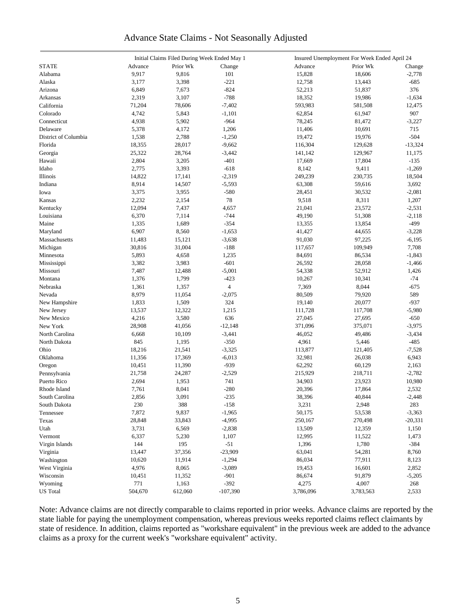### Advance State Claims - Not Seasonally Adjusted

|                      | Initial Claims Filed During Week Ended May 1 |          |                          | Insured Unemployment For Week Ended April 24 |           |                 |  |
|----------------------|----------------------------------------------|----------|--------------------------|----------------------------------------------|-----------|-----------------|--|
| <b>STATE</b>         | Advance                                      | Prior Wk | Change                   | Advance                                      | Prior Wk  | Change          |  |
| Alabama              | 9,917                                        | 9,816    | 101                      | 15,828                                       | 18,606    | $-2,778$        |  |
| Alaska               | 3,177                                        | 3,398    | $-221$                   | 12,758                                       | 13,443    | -685            |  |
| Arizona              | 6,849                                        | 7,673    | $-824$                   | 52,213                                       | 51,837    | 376             |  |
| Arkansas             | 2,319                                        | 3,107    | $-788$                   | 18,352                                       | 19,986    | $-1,634$        |  |
| California           | 71,204                                       | 78,606   | $-7,402$                 | 593,983                                      | 581,508   | 12,475          |  |
| Colorado             | 4,742                                        | 5,843    | $-1,101$                 | 62,854                                       | 61,947    | 907             |  |
| Connecticut          | 4,938                                        | 5,902    | $-964$                   | 78,245                                       | 81,472    |                 |  |
| Delaware             |                                              | 4,172    | 1,206                    |                                              |           | $-3,227$<br>715 |  |
|                      | 5,378                                        |          |                          | 11,406                                       | 10,691    |                 |  |
| District of Columbia | 1,538                                        | 2,788    | $-1,250$                 | 19,472                                       | 19,976    | $-504$          |  |
| Florida              | 18,355                                       | 28,017   | $-9,662$                 | 116,304                                      | 129,628   | $-13,324$       |  |
| Georgia              | 25,322                                       | 28,764   | $-3,442$                 | 141,142                                      | 129,967   | 11,175          |  |
| Hawaii               | 2,804                                        | 3,205    | $-401$                   | 17,669                                       | 17,804    | $-135$          |  |
| Idaho                | 2,775                                        | 3,393    | $-618$                   | 8,142                                        | 9,411     | $-1,269$        |  |
| Illinois             | 14,822                                       | 17,141   | $-2,319$                 | 249,239                                      | 230,735   | 18,504          |  |
| Indiana              | 8,914                                        | 14,507   | $-5,593$                 | 63,308                                       | 59,616    | 3,692           |  |
| Iowa                 | 3,375                                        | 3,955    | $-580$                   | 28,451                                       | 30,532    | $-2,081$        |  |
| Kansas               | 2,232                                        | 2,154    | 78                       | 9,518                                        | 8,311     | 1,207           |  |
| Kentucky             | 12,094                                       | 7,437    | 4,657                    | 21,041                                       | 23,572    | $-2,531$        |  |
| Louisiana            | 6,370                                        | 7,114    | $-744$                   | 49,190                                       | 51,308    | $-2,118$        |  |
| Maine                | 1,335                                        | 1,689    | $-354$                   | 13,355                                       | 13,854    | $-499$          |  |
| Maryland             | 6,907                                        | 8,560    | $-1,653$                 | 41,427                                       | 44,655    | $-3,228$        |  |
| Massachusetts        | 11,483                                       | 15,121   | $-3,638$                 | 91,030                                       | 97,225    | $-6,195$        |  |
| Michigan             | 30,816                                       | 31,004   | $-188$                   | 117,657                                      | 109,949   | 7,708           |  |
| Minnesota            | 5,893                                        | 4,658    | 1,235                    | 84,691                                       | 86,534    | $-1,843$        |  |
| Mississippi          | 3,382                                        | 3,983    | $-601$                   | 26,592                                       | 28,058    | $-1,466$        |  |
| Missouri             | 7,487                                        | 12,488   | $-5,001$                 | 54,338                                       | 52,912    | 1,426           |  |
| Montana              | 1,376                                        | 1,799    | $-423$                   | 10,267                                       | 10,341    | $-74$           |  |
| Nebraska             | 1,361                                        | 1,357    | $\overline{\mathcal{L}}$ | 7,369                                        | 8,044     | $-675$          |  |
| Nevada               | 8,979                                        | 11,054   | $-2,075$                 | 80,509                                       | 79,920    | 589             |  |
| New Hampshire        | 1,833                                        | 1,509    | 324                      | 19,140                                       | 20,077    | $-937$          |  |
| New Jersey           | 13,537                                       | 12,322   | 1,215                    | 111,728                                      | 117,708   | $-5,980$        |  |
| New Mexico           | 4,216                                        | 3,580    | 636                      | 27,045                                       | 27,695    | $-650$          |  |
| New York             | 28,908                                       | 41,056   | $-12,148$                | 371,096                                      | 375,071   | $-3,975$        |  |
| North Carolina       | 6,668                                        | 10,109   | $-3,441$                 | 46,052                                       | 49,486    | $-3,434$        |  |
| North Dakota         | 845                                          |          | $-350$                   | 4,961                                        |           | $-485$          |  |
|                      |                                              | 1,195    |                          |                                              | 5,446     |                 |  |
| Ohio                 | 18,216                                       | 21,541   | $-3,325$                 | 113,877                                      | 121,405   | $-7,528$        |  |
| Oklahoma             | 11,356                                       | 17,369   | $-6,013$                 | 32,981                                       | 26,038    | 6,943           |  |
| Oregon               | 10,451                                       | 11,390   | $-939$                   | 62,292                                       | 60,129    | 2,163           |  |
| Pennsylvania         | 21,758                                       | 24,287   | $-2,529$                 | 215,929                                      | 218,711   | $-2,782$        |  |
| Puerto Rico          | 2,694                                        | 1,953    | 741                      | 34,903                                       | 23,923    | 10,980          |  |
| Rhode Island         | 7,761                                        | 8,041    | $-280$                   | 20,396                                       | 17,864    | 2,532           |  |
| South Carolina       | 2,856                                        | 3,091    | $-235$                   | 38,396                                       | 40,844    | $-2,448$        |  |
| South Dakota         | 230                                          | 388      | $-158$                   | 3,231                                        | 2,948     | 283             |  |
| Tennessee            | 7,872                                        | 9,837    | $-1,965$                 | 50,175                                       | 53,538    | $-3,363$        |  |
| Texas                | 28,848                                       | 33,843   | $-4,995$                 | 250,167                                      | 270,498   | $-20,331$       |  |
| Utah                 | 3,731                                        | 6,569    | $-2,838$                 | 13,509                                       | 12,359    | 1,150           |  |
| Vermont              | 6,337                                        | 5,230    | 1,107                    | 12,995                                       | 11,522    | 1,473           |  |
| Virgin Islands       | 144                                          | 195      | $-51$                    | 1,396                                        | 1,780     | $-384$          |  |
| Virginia             | 13,447                                       | 37,356   | $-23,909$                | 63,041                                       | 54,281    | 8,760           |  |
| Washington           | 10,620                                       | 11,914   | $-1,294$                 | 86,034                                       | 77,911    | 8,123           |  |
| West Virginia        | 4,976                                        | 8,065    | $-3,089$                 | 19,453                                       | 16,601    | 2,852           |  |
| Wisconsin            | 10,451                                       | 11,352   | $-901$                   | 86,674                                       | 91,879    | $-5,205$        |  |
| Wyoming              | 771                                          | 1,163    | $-392$                   | 4,275                                        | 4,007     | 268             |  |
| <b>US</b> Total      | 504,670                                      | 612,060  | $-107,390$               | 3,786,096                                    | 3,783,563 | 2,533           |  |
|                      |                                              |          |                          |                                              |           |                 |  |

Note: Advance claims are not directly comparable to claims reported in prior weeks. Advance claims are reported by the state liable for paying the unemployment compensation, whereas previous weeks reported claims reflect claimants by state of residence. In addition, claims reported as "workshare equivalent" in the previous week are added to the advance claims as a proxy for the current week's "workshare equivalent" activity.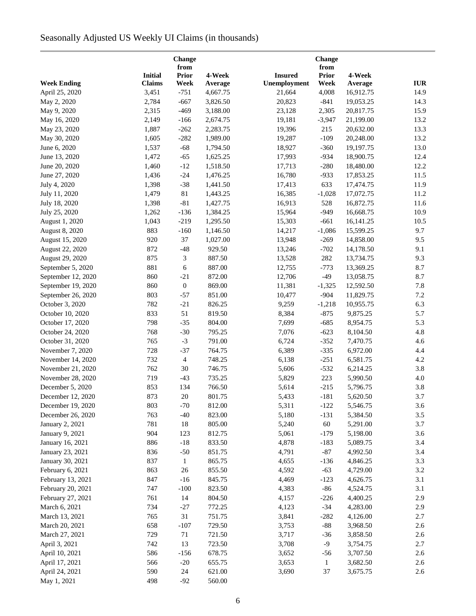# Seasonally Adjusted US Weekly UI Claims (in thousands)

| Change<br>from     |                |                  |          |                |                      |           |            |
|--------------------|----------------|------------------|----------|----------------|----------------------|-----------|------------|
|                    | <b>Initial</b> | <b>Prior</b>     | 4-Week   | <b>Insured</b> | from<br><b>Prior</b> | 4-Week    |            |
| <b>Week Ending</b> | <b>Claims</b>  | Week             | Average  | Unemployment   | Week                 | Average   | <b>IUR</b> |
| April 25, 2020     | 3,451          | $-751$           | 4,667.75 | 21,664         | 4,008                | 16,912.75 | 14.9       |
| May 2, 2020        | 2,784          | $-667$           | 3,826.50 | 20,823         | $-841$               | 19,053.25 | 14.3       |
| May 9, 2020        | 2,315          | $-469$           | 3,188.00 | 23,128         | 2,305                | 20,817.75 | 15.9       |
| May 16, 2020       | 2,149          | $-166$           | 2,674.75 | 19,181         | $-3,947$             | 21,199.00 | 13.2       |
| May 23, 2020       | 1,887          | $-262$           | 2,283.75 | 19,396         | 215                  | 20,632.00 | 13.3       |
| May 30, 2020       | 1,605          | $-282$           | 1,989.00 | 19,287         | $-109$               | 20,248.00 | 13.2       |
| June 6, 2020       | 1,537          | $-68$            | 1,794.50 | 18,927         | $-360$               | 19,197.75 | 13.0       |
| June 13, 2020      | 1,472          | $-65$            | 1,625.25 | 17,993         | $-934$               | 18,900.75 | 12.4       |
| June 20, 2020      | 1,460          | $-12$            | 1,518.50 | 17,713         | $-280$               | 18,480.00 | 12.2       |
| June 27, 2020      | 1,436          | $-24$            | 1,476.25 | 16,780         | $-933$               | 17,853.25 | 11.5       |
| July 4, 2020       | 1,398          | $-38$            | 1,441.50 | 17,413         | 633                  | 17,474.75 | 11.9       |
| July 11, 2020      | 1,479          | $81\,$           | 1,443.25 | 16,385         | $-1,028$             | 17,072.75 | 11.2       |
| July 18, 2020      | 1,398          | $-81$            | 1,427.75 | 16,913         | 528                  | 16,872.75 | 11.6       |
|                    | 1,262          | $-136$           |          | 15,964         | $-949$               | 16,668.75 | 10.9       |
| July 25, 2020      |                |                  | 1,384.25 |                |                      |           |            |
| August 1, 2020     | 1,043          | $-219$           | 1,295.50 | 15,303         | $-661$               | 16,141.25 | 10.5       |
| August 8, 2020     | 883            | $-160$           | 1,146.50 | 14,217         | $-1,086$             | 15,599.25 | 9.7        |
| August 15, 2020    | 920            | 37               | 1,027.00 | 13,948         | $-269$               | 14,858.00 | 9.5        |
| August 22, 2020    | 872            | $-48$            | 929.50   | 13,246         | $-702$               | 14,178.50 | 9.1        |
| August 29, 2020    | 875            | 3                | 887.50   | 13,528         | 282                  | 13,734.75 | 9.3        |
| September 5, 2020  | 881            | 6                | 887.00   | 12,755         | $-773$               | 13,369.25 | 8.7        |
| September 12, 2020 | 860            | $-21$            | 872.00   | 12,706         | $-49$                | 13,058.75 | 8.7        |
| September 19, 2020 | 860            | $\boldsymbol{0}$ | 869.00   | 11,381         | $-1,325$             | 12,592.50 | 7.8        |
| September 26, 2020 | 803            | $-57$            | 851.00   | 10,477         | $-904$               | 11,829.75 | 7.2        |
| October 3, 2020    | 782            | $-21$            | 826.25   | 9,259          | $-1,218$             | 10,955.75 | 6.3        |
| October 10, 2020   | 833            | 51               | 819.50   | 8,384          | $-875$               | 9,875.25  | 5.7        |
| October 17, 2020   | 798            | $-35$            | 804.00   | 7,699          | $-685$               | 8,954.75  | 5.3        |
| October 24, 2020   | 768            | $-30$            | 795.25   | 7,076          | $-623$               | 8,104.50  | 4.8        |
| October 31, 2020   | 765            | $-3$             | 791.00   | 6,724          | $-352$               | 7,470.75  | 4.6        |
| November 7, 2020   | 728            | $-37$            | 764.75   | 6,389          | $-335$               | 6,972.00  | 4.4        |
| November 14, 2020  | 732            | $\overline{4}$   | 748.25   | 6,138          | $-251$               | 6,581.75  | 4.2        |
| November 21, 2020  | 762            | 30               | 746.75   | 5,606          | $-532$               | 6,214.25  | 3.8        |
| November 28, 2020  | 719            | $-43$            | 735.25   | 5,829          | 223                  | 5,990.50  | 4.0        |
| December 5, 2020   | 853            | 134              | 766.50   | 5,614          | $-215$               | 5,796.75  | 3.8        |
| December 12, 2020  | 873            | $20\,$           | 801.75   | 5,433          | $-181$               | 5,620.50  | 3.7        |
| December 19, 2020  | 803            | $-70$            | 812.00   | 5,311          | $-122$               | 5,546.75  | 3.6        |
| December 26, 2020  | 763            | $-40$            | 823.00   | 5,180          | $-131$               | 5,384.50  | 3.5        |
| January 2, 2021    | 781            | 18               | 805.00   | 5,240          | 60                   | 5,291.00  | 3.7        |
| January 9, 2021    | 904            | 123              | 812.75   | 5,061          | $-179$               | 5,198.00  | 3.6        |
| January 16, 2021   | 886            | $-18$            | 833.50   | 4,878          | $-183$               | 5,089.75  | 3.4        |
| January 23, 2021   | 836            | $-50$            | 851.75   | 4,791          | $-87$                | 4,992.50  | 3.4        |
| January 30, 2021   | 837            | $\mathbf{1}$     | 865.75   | 4,655          | $-136$               | 4,846.25  | 3.3        |
| February 6, 2021   | 863            | 26               | 855.50   | 4,592          | $-63$                | 4,729.00  | 3.2        |
| February 13, 2021  | 847            | $-16$            | 845.75   | 4,469          | $-123$               | 4,626.75  | 3.1        |
| February 20, 2021  | 747            | $-100$           | 823.50   | 4,383          | $-86$                | 4,524.75  | 3.1        |
| February 27, 2021  | 761            | 14               | 804.50   | 4,157          | $-226$               | 4,400.25  | 2.9        |
| March 6, 2021      | 734            | $-27$            | 772.25   | 4,123          | $-34$                | 4,283.00  | 2.9        |
| March 13, 2021     | 765            | 31               | 751.75   | 3,841          | $-282$               | 4,126.00  | 2.7        |
| March 20, 2021     | 658            | $-107$           | 729.50   | 3,753          | $-88$                | 3,968.50  | 2.6        |
| March 27, 2021     | 729            | 71               | 721.50   | 3,717          | $-36$                | 3,858.50  | 2.6        |
| April 3, 2021      | 742            | 13               | 723.50   | 3,708          | $-9$                 | 3,754.75  | 2.7        |
|                    |                |                  |          |                |                      |           |            |
| April 10, 2021     | 586            | $-156$           | 678.75   | 3,652          | $-56$                | 3,707.50  | 2.6        |
| April 17, 2021     | 566            | $-20$            | 655.75   | 3,653          | $\mathbf{1}$         | 3,682.50  | 2.6        |
| April 24, 2021     | 590            | 24               | 621.00   | 3,690          | 37                   | 3,675.75  | 2.6        |
| May 1, 2021        | 498            | $-92$            | 560.00   |                |                      |           |            |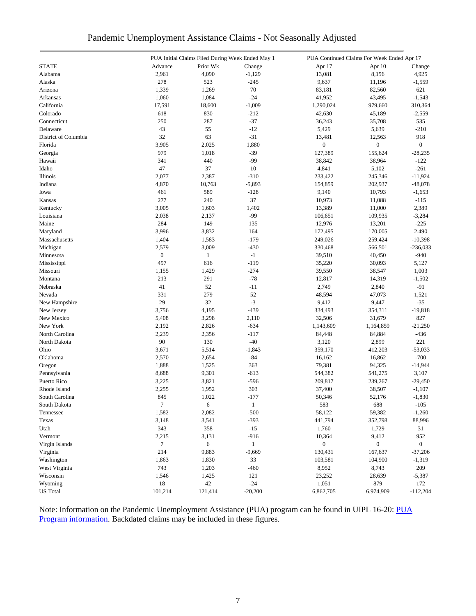|  | Pandemic Unemployment Assistance Claims - Not Seasonally Adjusted |  |  |  |
|--|-------------------------------------------------------------------|--|--|--|
|  |                                                                   |  |  |  |

|                             |                  |              | PUA Initial Claims Filed During Week Ended May 1 |                   | PUA Continued Claims For Week Ended Apr 17 |                       |
|-----------------------------|------------------|--------------|--------------------------------------------------|-------------------|--------------------------------------------|-----------------------|
| <b>STATE</b>                | Advance          | Prior Wk     | Change                                           | Apr 17            | Apr 10                                     | Change                |
| Alabama                     | 2,961            | 4,090        | $-1,129$                                         | 13,081            | 8,156                                      | 4,925                 |
| Alaska                      | 278              | 523          | $-245$                                           | 9,637             | 11,196                                     | $-1,559$              |
| Arizona                     | 1,339            | 1,269        | 70                                               | 83,181            | 82,560                                     | 621                   |
| Arkansas                    | 1,060            | 1,084        | $-24$                                            | 41,952            | 43,495                                     | $-1,543$              |
| California                  | 17,591           | 18,600       | $-1,009$                                         | 1,290,024         | 979,660                                    | 310,364               |
| Colorado                    | 618              | 830          | $-212$                                           | 42,630            | 45,189                                     | $-2,559$              |
| Connecticut                 | 250              | 287          | $-37$                                            | 36,243            | 35,708                                     | 535                   |
| Delaware                    | 43               | 55           | $-12$                                            | 5,429             | 5,639                                      | $-210$                |
| District of Columbia        | 32               | 63           | $-31$                                            | 13,481            | 12,563                                     | 918                   |
| Florida                     | 3,905            | 2,025        | 1,880                                            | $\boldsymbol{0}$  | $\boldsymbol{0}$                           | $\overline{0}$        |
| Georgia                     | 979              | 1,018        | $-39$                                            | 127,389           | 155,624                                    | $-28,235$             |
| Hawaii                      | 341              | 440          | $-99$                                            | 38,842            | 38,964                                     | $-122$                |
| Idaho                       | 47               | 37           | 10                                               | 4,841             | 5,102                                      | $-261$                |
| Illinois                    | 2,077            | 2,387        | $-310$                                           | 233,422           | 245,346                                    | $-11,924$             |
| Indiana                     | 4,870            | 10,763       | $-5,893$                                         | 154,859           | 202,937                                    | $-48,078$             |
| Iowa                        | 461              | 589          | $-128$                                           | 9,140             | 10,793                                     | $-1,653$              |
| Kansas                      | 277              | 240          | 37                                               | 10,973            | 11,088                                     | $-115$                |
| Kentucky                    | 3,005            | 1,603        | 1,402                                            | 13,389            | 11,000                                     | 2,389                 |
| Louisiana                   | 2,038            | 2,137        | $-99$                                            | 106,651           | 109,935                                    | $-3,284$              |
| Maine                       | 284              | 149          | 135                                              | 12,976            | 13,201                                     | $-225$                |
| Maryland                    | 3,996            | 3,832        | 164                                              | 172,495           | 170,005                                    | 2,490                 |
| Massachusetts               | 1,404            | 1,583        | $-179$                                           | 249,026           | 259,424                                    | $-10,398$             |
| Michigan                    | 2,579            | 3,009        | $-430$                                           | 330,468           | 566,501                                    | $-236,033$            |
| Minnesota                   | $\boldsymbol{0}$ | $\mathbf{1}$ | $^{\rm -1}$                                      | 39,510            | 40,450                                     | $-940$                |
| Mississippi                 | 497              | 616          | $-119$                                           | 35,220            | 30,093                                     | 5,127                 |
| Missouri                    | 1,155            | 1,429        | $-274$                                           | 39,550            | 38,547                                     | 1,003                 |
| Montana                     | 213              | 291          | $-78$                                            | 12,817            | 14,319                                     | $-1,502$              |
| Nebraska                    | 41               | 52           | $-11$                                            | 2,749             | 2,840                                      | $-91$                 |
| Nevada                      | 331              | 279          | 52                                               | 48,594            | 47,073                                     | 1,521                 |
|                             | 29               | 32           | $-3$                                             | 9,412             | 9,447                                      | $-35$                 |
| New Hampshire               | 3,756            | 4,195        | $-439$                                           | 334,493           | 354,311                                    | $-19,818$             |
| New Jersey<br>New Mexico    | 5,408            | 3,298        | 2,110                                            | 32,506            | 31,679                                     | 827                   |
| New York                    | 2,192            | 2,826        | $-634$                                           | 1,143,609         |                                            | $-21,250$             |
| North Carolina              | 2,239            | 2,356        | $-117$                                           | 84,448            | 1,164,859<br>84,884                        | $-436$                |
| North Dakota                | 90               | 130          | $-40$                                            | 3,120             | 2,899                                      | 221                   |
| Ohio                        | 3,671            | 5,514        |                                                  | 359,170           |                                            | $-53,033$             |
| Oklahoma                    | 2,570            | 2,654        | $-1,843$<br>$-84$                                | 16,162            | 412,203<br>16,862                          | $-700$                |
|                             | 1,888            | 1,525        | 363                                              | 79,381            | 94,325                                     | $-14,944$             |
| Oregon                      | 8,688            | 9,301        | $-613$                                           | 544,382           |                                            | 3,107                 |
| Pennsylvania<br>Puerto Rico | 3,225            | 3,821        | $-596$                                           |                   | 541,275                                    |                       |
| Rhode Island                | 2,255            | 1,952        | 303                                              | 209,817<br>37,400 | 239,267<br>38,507                          | $-29,450$<br>$-1,107$ |
|                             |                  |              |                                                  |                   |                                            |                       |
| South Carolina              | 845<br>$\tau$    | 1,022<br>6   | $-177$                                           | 50,346            | 52,176                                     | $-1,830$              |
| South Dakota<br>Tennessee   | 1,582            |              | $\mathbf{1}$<br>$-500$                           | 583               | 688                                        | $-105$                |
|                             |                  | 2,082        |                                                  | 58,122<br>441,794 | 59,382<br>352,798                          | $-1,260$              |
| Texas                       | 3,148            | 3,541        | $-393$<br>$-15$                                  |                   |                                            | 88,996                |
| Utah                        | 343              | 358          |                                                  | 1,760             | 1,729                                      | 31                    |
| Vermont                     | 2,215            | 3,131        | $-916$                                           | 10,364            | 9,412                                      | 952                   |
| Virgin Islands              | $\tau$           | 6            | $\mathbf{1}$                                     | $\boldsymbol{0}$  | $\boldsymbol{0}$                           | $\overline{0}$        |
| Virginia                    | 214              | 9,883        | $-9,669$                                         | 130,431           | 167,637                                    | $-37,206$             |
| Washington                  | 1,863            | 1,830        | 33                                               | 103,581           | 104,900                                    | $-1,319$              |
| West Virginia               | 743              | 1,203        | $-460$                                           | 8,952             | 8,743                                      | 209                   |
| Wisconsin                   | 1,546            | 1,425        | 121                                              | 23,252            | 28,639                                     | $-5,387$              |
| Wyoming                     | 18               | 42           | $-24$                                            | 1,051             | 879                                        | 172                   |
| <b>US</b> Total             | 101,214          | 121,414      | $-20,200$                                        | 6,862,705         | 6,974,909                                  | $-112,204$            |

Note: Information on the Pandemic Unemployment Assistance (PUA) program can be found in UIPL 16-20: PUA [Program information.](https://wdr.doleta.gov/directives/corr_doc.cfm?DOCN=4628) Backdated claims may be included in these figures.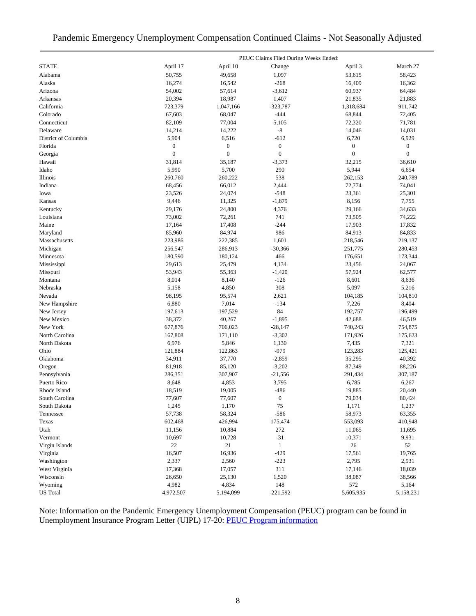### Pandemic Emergency Unemployment Compensation Continued Claims - Not Seasonally Adjusted

|                      | PEUC Claims Filed During Weeks Ended: |                  |                  |                  |                  |  |  |
|----------------------|---------------------------------------|------------------|------------------|------------------|------------------|--|--|
| <b>STATE</b>         | April 17                              | April 10         | Change           | April 3          | March 27         |  |  |
| Alabama              | 50,755                                | 49,658           | 1,097            | 53,615           | 58,423           |  |  |
| Alaska               | 16,274                                | 16,542           | $-268$           | 16,409           | 16,362           |  |  |
| Arizona              | 54,002                                | 57,614           | $-3,612$         | 60,937           | 64,484           |  |  |
| Arkansas             | 20,394                                | 18,987           | 1,407            | 21,835           | 21,883           |  |  |
| California           | 723,379                               | 1,047,166        | $-323,787$       | 1,318,684        | 911,742          |  |  |
| Colorado             | 67,603                                | 68,047           | $-444$           | 68,844           | 72,405           |  |  |
| Connecticut          | 82,109                                | 77,004           | 5,105            | 72,320           | 71,781           |  |  |
| Delaware             | 14,214                                | 14,222           | $\mbox{-}8$      | 14,046           | 14,031           |  |  |
| District of Columbia | 5,904                                 | 6,516            | $-612$           | 6,720            | 6,929            |  |  |
| Florida              | $\boldsymbol{0}$                      | $\boldsymbol{0}$ | $\boldsymbol{0}$ | $\boldsymbol{0}$ | $\boldsymbol{0}$ |  |  |
| Georgia              | $\overline{0}$                        | $\boldsymbol{0}$ | $\boldsymbol{0}$ | $\boldsymbol{0}$ | $\mathbf{0}$     |  |  |
| Hawaii               | 31,814                                | 35,187           | $-3,373$         | 32,215           | 36,610           |  |  |
| Idaho                | 5,990                                 | 5,700            | 290              | 5,944            | 6,654            |  |  |
| Illinois             | 260,760                               | 260,222          | 538              | 262,153          | 240,789          |  |  |
| Indiana              | 68,456                                | 66,012           | 2,444            | 72,774           | 74,041           |  |  |
| Iowa                 | 23,526                                | 24,074           | $-548$           | 23,361           | 25,301           |  |  |
| Kansas               | 9,446                                 | 11,325           | $-1,879$         | 8,156            | 7,755            |  |  |
| Kentucky             | 29,176                                | 24,800           | 4,376            | 29,166           | 34,633           |  |  |
| Louisiana            | 73,002                                | 72,261           | 741              | 73,505           | 74,222           |  |  |
| Maine                | 17,164                                | 17,408           | $-244$           | 17,903           | 17,832           |  |  |
| Maryland             | 85,960                                | 84,974           | 986              | 84,913           | 84,833           |  |  |
| Massachusetts        | 223,986                               | 222,385          | 1,601            | 218,546          | 219,137          |  |  |
| Michigan             | 256,547                               | 286,913          | $-30,366$        | 251,775          | 280,453          |  |  |
| Minnesota            | 180,590                               | 180,124          | 466              | 176,651          | 173,344          |  |  |
| Mississippi          | 29,613                                | 25,479           | 4,134            | 23,456           | 24,067           |  |  |
| Missouri             | 53,943                                | 55,363           | $-1,420$         | 57,924           | 62,577           |  |  |
| Montana              | 8,014                                 | 8,140            | $-126$           | 8,601            | 8,636            |  |  |
| Nebraska             | 5,158                                 | 4,850            | 308              | 5,097            | 5,216            |  |  |
| Nevada               | 98,195                                | 95,574           | 2,621            | 104,185          | 104,810          |  |  |
| New Hampshire        | 6,880                                 | 7,014            | $-134$           | 7,226            | 8,404            |  |  |
| New Jersey           | 197,613                               | 197,529          | 84               | 192,757          | 196,499          |  |  |
| New Mexico           | 38,372                                | 40,267           | $-1,895$         | 42,688           | 46,519           |  |  |
| New York             | 677,876                               | 706,023          | $-28,147$        | 740,243          | 754,875          |  |  |
| North Carolina       | 167,808                               | 171,110          | $-3,302$         | 171,926          | 175,623          |  |  |
| North Dakota         | 6,976                                 | 5,846            | 1,130            | 7,435            | 7,321            |  |  |
| Ohio                 | 121,884                               | 122,863          | $-979$           | 123,283          | 125,421          |  |  |
| Oklahoma             | 34,911                                | 37,770           | $-2,859$         | 35,295           | 40,392           |  |  |
| Oregon               | 81,918                                | 85,120           | $-3,202$         | 87,349           | 88,226           |  |  |
| Pennsylvania         | 286,351                               | 307,907          | $-21,556$        | 291,434          | 307,187          |  |  |
| Puerto Rico          | 8,648                                 | 4,853            | 3,795            | 6,785            | 6,267            |  |  |
| Rhode Island         | 18,519                                | 19,005           | $-486$           | 19,885           | 20,440           |  |  |
| South Carolina       | 77,607                                | 77,607           | $\boldsymbol{0}$ | 79,034           | 80,424           |  |  |
| South Dakota         | 1,245                                 | 1,170            | 75               | 1,171            | 1,237            |  |  |
| Tennessee            | 57,738                                | 58,324           | $-586$           | 58,973           | 63,355           |  |  |
| Texas                | 602,468                               | 426,994          | 175,474          | 553,093          | 410,948          |  |  |
| Utah                 | 11,156                                | 10,884           | 272              | 11,065           | 11,695           |  |  |
| Vermont              | 10,697                                | 10,728           | $-31$            | 10,371           | 9,931            |  |  |
| Virgin Islands       | 22                                    | 21               | $\mathbf{1}$     | $26\,$           | 52               |  |  |
| Virginia             | 16,507                                | 16,936           | $-429$           | 17,561           | 19,765           |  |  |
| Washington           | 2,337                                 | 2,560            | $-223$           | 2,795            | 2,931            |  |  |
| West Virginia        | 17,368                                | 17,057           | 311              | 17,146           | 18,039           |  |  |
| Wisconsin            | 26,650                                | 25,130           | 1,520            | 38,087           | 38,566           |  |  |
| Wyoming              | 4,982                                 | 4,834            | 148              | 572              | 5,164            |  |  |
| <b>US</b> Total      | 4,972,507                             | 5,194,099        | $-221,592$       | 5,605,935        | 5,158,231        |  |  |

Note: Information on the Pandemic Emergency Unemployment Compensation (PEUC) program can be found in Unemployment Insurance Program Letter (UIPL) 17-20: [PEUC Program information](https://wdr.doleta.gov/directives/corr_doc.cfm?DOCN=8452)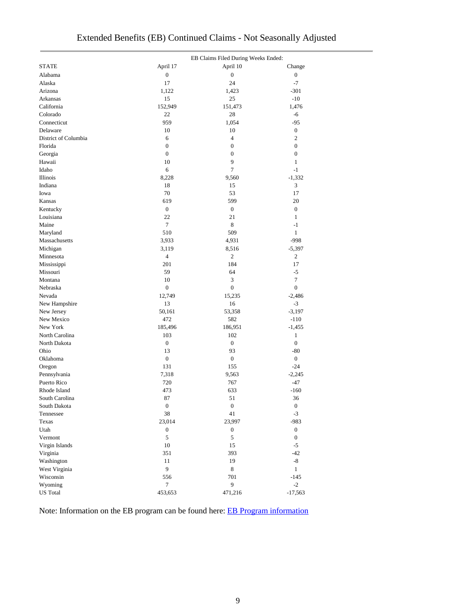|                      |                  | EB Claims Filed During Weeks Ended: |                  |  |  |
|----------------------|------------------|-------------------------------------|------------------|--|--|
| <b>STATE</b>         | April 17         | April 10                            | Change           |  |  |
| Alabama              | $\boldsymbol{0}$ | $\boldsymbol{0}$                    | $\boldsymbol{0}$ |  |  |
| Alaska               | 17               | 24                                  | $-7$             |  |  |
| Arizona              | 1,122            | 1,423                               | $-301$           |  |  |
| Arkansas             | 15               | 25                                  | $-10$            |  |  |
| California           | 152,949          | 151,473                             | 1,476            |  |  |
| Colorado             | 22               | 28                                  | $-6$             |  |  |
| Connecticut          | 959              | 1,054                               | $-95$            |  |  |
| Delaware             | 10               | 10                                  | $\boldsymbol{0}$ |  |  |
| District of Columbia | 6                | $\overline{4}$                      | $\overline{c}$   |  |  |
| Florida              | $\boldsymbol{0}$ | $\boldsymbol{0}$                    | $\boldsymbol{0}$ |  |  |
| Georgia              | $\boldsymbol{0}$ | $\boldsymbol{0}$                    | $\boldsymbol{0}$ |  |  |
| Hawaii               | 10               | 9                                   | $\mathbf{1}$     |  |  |
| Idaho                | 6                | 7                                   | $-1$             |  |  |
| Illinois             | 8,228            | 9,560                               | $-1,332$         |  |  |
| Indiana              | 18               | 15                                  | 3                |  |  |
| Iowa                 | 70               | 53                                  | 17               |  |  |
| Kansas               | 619              | 599                                 | 20               |  |  |
| Kentucky             | $\boldsymbol{0}$ | $\boldsymbol{0}$                    | $\boldsymbol{0}$ |  |  |
| Louisiana            | 22               | 21                                  | $\mathbf{1}$     |  |  |
| Maine                | $\tau$           | $\,$ 8 $\,$                         | $-1$             |  |  |
| Maryland             | 510              | 509                                 | $\mathbf{1}$     |  |  |
| Massachusetts        | 3,933            | 4,931                               | $-998$           |  |  |
| Michigan             | 3,119            | 8,516                               | $-5,397$         |  |  |
| Minnesota            | $\overline{4}$   | $\overline{c}$                      | $\overline{c}$   |  |  |
| Mississippi          | 201              | 184                                 | 17               |  |  |
| Missouri             | 59               | 64                                  | $-5$             |  |  |
| Montana              | 10               | 3                                   | 7                |  |  |
| Nebraska             | $\boldsymbol{0}$ | $\boldsymbol{0}$                    | $\overline{0}$   |  |  |
|                      |                  |                                     |                  |  |  |
| Nevada               | 12,749           | 15,235                              | $-2,486$         |  |  |
| New Hampshire        | 13               | 16                                  | $-3$             |  |  |
| New Jersey           | 50,161           | 53,358                              | $-3,197$         |  |  |
| New Mexico           | 472              | 582                                 | $-110$           |  |  |
| New York             | 185,496          | 186,951                             | $-1,455$         |  |  |
| North Carolina       | 103              | 102                                 | $\mathbf{1}$     |  |  |
| North Dakota         | $\boldsymbol{0}$ | $\boldsymbol{0}$                    | $\boldsymbol{0}$ |  |  |
| Ohio                 | 13               | 93                                  | $-80$            |  |  |
| Oklahoma             | $\boldsymbol{0}$ | $\boldsymbol{0}$                    | $\overline{0}$   |  |  |
| Oregon               | 131              | 155                                 | $-24$            |  |  |
| Pennsylvania         | 7,318            | 9,563                               | $-2,245$         |  |  |
| Puerto Rico          | 720              | 767                                 | $-47$            |  |  |
| Rhode Island         | 473              | 633                                 | $-160$           |  |  |
| South Carolina       | 87               | 51                                  | 36               |  |  |
| South Dakota         | $\boldsymbol{0}$ | $\boldsymbol{0}$                    | $\boldsymbol{0}$ |  |  |
| Tennessee            | $38\,$           | 41                                  | $-3$             |  |  |
| Texas                | 23,014           | 23,997                              | $-983$           |  |  |
| Utah                 | $\boldsymbol{0}$ | $\boldsymbol{0}$                    | $\boldsymbol{0}$ |  |  |
| Vermont              | 5                | 5                                   | $\overline{0}$   |  |  |
| Virgin Islands       | $10\,$           | 15                                  | $-5$             |  |  |
| Virginia             | 351              | 393                                 | $-42$            |  |  |
| Washington           | 11               | 19                                  | $-8$             |  |  |
| West Virginia        | 9                | $\,8\,$                             | $\mathbf{1}$     |  |  |
| Wisconsin            | 556              | 701                                 | $-145$           |  |  |
| Wyoming              | $\tau$           | 9                                   | $-2$             |  |  |
| <b>US</b> Total      | 453,653          | 471,216                             | $-17,563$        |  |  |

Note: Information on the EB program can be found here: [EB Program information](https://oui.doleta.gov/unemploy/extenben.asp)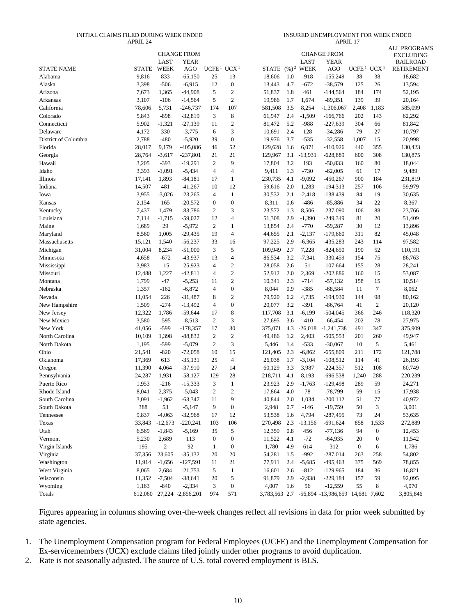#### INITIAL CLAIMS FILED DURING WEEK ENDED APRIL 24

| INSURED UNEMPLOYMENT FOR WEEK ENDED |
|-------------------------------------|
| APRII.17                            |

|                                 |              |                     | <b>CHANGE FROM</b>        |                                    |                  |                             |     |                  | <b>CHANGE FROM</b>                             |                                    |                  | <b>ALL PROGRAMS</b><br><b>EXCLUDING</b> |
|---------------------------------|--------------|---------------------|---------------------------|------------------------------------|------------------|-----------------------------|-----|------------------|------------------------------------------------|------------------------------------|------------------|-----------------------------------------|
| <b>STATE NAME</b>               | <b>STATE</b> | LAST<br><b>WEEK</b> | <b>YEAR</b>               | UCFE <sup>1</sup> UCX <sup>1</sup> |                  | STATE (%) <sup>2</sup> WEEK |     | LAST             | <b>YEAR</b><br>AGO                             | UCFE <sup>1</sup> UCX <sup>1</sup> |                  | <b>RAILROAD</b>                         |
| Alabama                         | 9,816        | 833                 | AGO<br>$-65,150$          |                                    | 13               |                             | 1.0 |                  | $-155,249$                                     | 38                                 | 38               | <b>RETIREMENT</b><br>18,682             |
| Alaska                          | 3,398        | $-506$              | $-6,915$                  | 25<br>12                           | $\boldsymbol{0}$ | 18,606<br>13,443            | 4.7 | $-918$<br>$-672$ | $-38,579$                                      | 125                                | 26               | 13,594                                  |
|                                 |              |                     |                           |                                    | $\sqrt{2}$       |                             |     |                  |                                                |                                    |                  |                                         |
| Arizona                         | 7,673        | 1,365               | $-44,908$                 | 5                                  | $\mathfrak{2}$   | 51,837                      | 1.8 | 461              | $-144,564$                                     | 184                                | 174<br>39        | 52,195                                  |
| Arkansas                        | 3,107        | $-106$              | $-14,564$                 | 5                                  |                  | 19,986                      | 1.7 | 1,674            | $-89,351$                                      | 139                                |                  | 20,164                                  |
| California                      | 78,606       | 5,731               | $-246,737$                | 174                                | 107              | 581,508                     | 3.5 | 8,254            | $-1,306,067$                                   | 2,408                              | 1,183            | 585,099                                 |
| Colorado                        | 5,843        | $-898$              | $-32,819$                 | 3                                  | $\,8\,$          | 61,947                      | 2.4 | $-1,509$         | $-166,766$                                     | 202                                | 143              | 62,292                                  |
| Connecticut                     | 5,902        | $-1,321$            | $-27,139$                 | 11                                 | $\sqrt{2}$       | 81,472                      | 5.2 | -988             | $-227,639$                                     | 304                                | 66               | 81,842                                  |
| Delaware                        | 4,172        | 330                 | $-3,775$                  | 6                                  | 3                | 10,691                      | 2.4 | 128              | $-34,286$                                      | 79                                 | 27               | 10,797                                  |
| District of Columbia<br>Florida | 2,788        | $-480$              | $-5,920$                  | 39                                 | $\boldsymbol{0}$ | 19,976                      | 3.7 | $-535$           | $-32,558$                                      | 1,007                              | 15               | 20,998                                  |
|                                 | 28,017       | 9,179               | $-405,086$                | 46                                 | 52               | 129,628                     | 1.6 | 6,071            | $-410,926$                                     | 440                                | 355              | 130,423                                 |
| Georgia                         | 28,764       | $-3,617$            | $-237,801$                | 21                                 | 21               | 129,967                     | 3.1 | $-13,931$        | $-628,889$                                     | 600                                | 308              | 130,875                                 |
| Hawaii                          | 3,205        | $-393$              | $-19,291$                 | $\mathfrak{2}$                     | 9                | 17,804                      | 3.2 | 193              | $-50,833$                                      | 160                                | 80               | 18,044                                  |
| Idaho                           | 3,393        | $-1,091$            | $-5,434$                  | 4                                  | $\overline{4}$   | 9,411                       | 1.3 | $-730$           | $-62,005$                                      | 61                                 | 17               | 9,489                                   |
| Illinois                        | 17,141       | 1,893               | $-84,181$                 | 17                                 | 1                | 230,735                     | 4.1 | $-9,092$         | $-450,267$                                     | 900                                | 184              | 231,819                                 |
| Indiana                         | 14,507       | 481                 | $-41,267$                 | 10                                 | 12               | 59,616                      | 2.0 | 1,283            | $-194,313$                                     | 257                                | 106              | 59,979                                  |
| Iowa                            | 3,955        | $-3,026$            | $-23,265$                 | 4                                  | $\mathbf{1}$     | 30,532                      | 2.1 | $-2,418$         | $-138,439$                                     | 84                                 | 19               | 30,635                                  |
| Kansas                          | 2,154        | 165                 | $-20,572$                 | $\boldsymbol{0}$                   | $\boldsymbol{0}$ | 8,311                       | 0.6 | $-486$           | $-85,886$                                      | 34                                 | 22               | 8,367                                   |
| Kentucky                        | 7,437        | 1,479               | $-83,786$                 | 2                                  | 3                | 23,572                      | 1.3 | 8,506            | $-237,090$                                     | 106                                | 88               | 23,766                                  |
| Louisiana                       | 7,114        | $-1,715$            | $-59,027$                 | 12                                 | $\overline{4}$   | 51,308                      | 2.9 | $-1,390$         | $-249,349$                                     | 81                                 | 20               | 51,409                                  |
| Maine                           | 1,689        | 29                  | $-5,972$                  | 2                                  | $\mathbf{1}$     | 13,854                      | 2.4 | $-770$           | $-59,287$                                      | 30                                 | 12               | 13,896                                  |
| Maryland                        | 8,560        | 1,005               | $-29,435$                 | 19                                 | $\overline{4}$   | 44,655                      | 2.1 | $-2,137$         | $-179,660$                                     | 311                                | 82               | 45,048                                  |
| Massachusetts                   | 15,121       | 1,540               | $-56,237$                 | 33                                 | 16               | 97,225                      | 2.9 | $-6,365$         | $-435,283$                                     | 243                                | 114              | 97,582                                  |
| Michigan                        | 31,004       | 8,234               | $-51,000$                 | 3                                  | $\sqrt{5}$       | 109,949                     | 2.7 | 7,228            | $-824,650$                                     | 190                                | 52               | 110,191                                 |
| Minnesota                       | 4,658        | $-672$              | $-43,937$                 | 13                                 | $\overline{4}$   | 86,534                      | 3.2 | $-7,341$         | $-330,459$                                     | 154                                | 75               | 86,763                                  |
| Mississippi                     | 3,983        | $-15$               | $-25,923$                 | $\overline{4}$                     | $\mathbf{2}$     | 28,058                      | 2.6 | 51               | $-107,664$                                     | 155                                | 28               | 28,241                                  |
| Missouri                        | 12,488       | 1,227               | $-42,811$                 | 4                                  | $\mathbf{2}$     | 52,912                      | 2.0 | 2,369            | $-202,886$                                     | 160                                | 15               | 53,087                                  |
| Montana                         | 1,799        | $-47$               | $-5,253$                  | 11                                 | $\sqrt{2}$       | 10,341                      | 2.3 | $-714$           | $-57,132$                                      | 158                                | 15               | 10,514                                  |
| Nebraska                        | 1,357        | $-162$              | $-6,872$                  | 4                                  | $\boldsymbol{0}$ | 8,044                       | 0.9 | $-385$           | $-68,584$                                      | 11                                 | $\boldsymbol{7}$ | 8,062                                   |
| Nevada                          | 11,054       | 226                 | $-31,487$                 | 8                                  | $\mathbf{2}$     | 79,920                      | 6.2 | 4,735            | $-194,930$                                     | 144                                | 98               | 80,162                                  |
| New Hampshire                   | 1,509        | $-274$              | $-13,492$                 | 4                                  | $\boldsymbol{0}$ | 20,077                      | 3.2 | $-391$           | $-86,764$                                      | 41                                 | 2                | 20,120                                  |
| New Jersey                      | 12,322       | 1,786               | $-59,644$                 | 17                                 | 8                | 117,708                     | 3.1 | $-6,199$         | $-504,045$                                     | 366                                | 246              | 118,320                                 |
| New Mexico                      | 3,580        | $-595$              | $-8,513$                  | 2                                  | 3                | 27,695                      | 3.6 | $-410$           | $-66,454$                                      | 202                                | 78               | 27,975                                  |
| New York                        | 41,056       | $-599$              | $-178,357$                | 17                                 | 30               | 375,071                     | 4.3 | $-26,018$        | $-1,241,738$                                   | 491                                | 347              | 375,909                                 |
| North Carolina                  | 10,109       | 1,398               | $-88,832$                 | $\mathfrak{2}$                     | $\sqrt{2}$       | 49,486                      | 1.2 | 2,403            | $-505,553$                                     | 201                                | 260              | 49,947                                  |
| North Dakota                    | 1,195        | $-599$              | $-5,079$                  | 2                                  | 3                | 5,446                       | 1.4 | $-533$           | $-30,067$                                      | 10                                 | 5                | 5,461                                   |
| Ohio                            | 21,541       | $-820$              | $-72,058$                 | 10                                 | 15               | 121,405                     | 2.3 | $-6,862$         | $-655,809$                                     | 211                                | 172              | 121,788                                 |
| Oklahoma                        | 17,369       | 613                 | $-35,131$                 | 25                                 | $\overline{4}$   | 26,038                      | 1.7 | $-3,104$         | $-108,512$                                     | 114                                | 41               | 26,193                                  |
| Oregon                          | 11,390       | 4,064               | $-37,910$                 | 27                                 | 14               | 60,129                      | 3.3 | 3,987            | $-224,357$                                     | 512                                | 108              | 60,749                                  |
| Pennsylvania                    | 24,287       | 1,931               | $-58,127$                 | 129                                | 28               | 218,711                     | 4.1 | 8,193            | $-696,538$                                     | 1,240                              | 288              | 220,239                                 |
| Puerto Rico                     | 1,953        | $-216$              | $-15,333$                 | 3                                  | $\mathbf{1}$     | 23,923                      | 2.9 | $-1,763$         | $-129,498$                                     | 289                                | 59               | 24,271                                  |
| Rhode Island                    | 8,041        | 2,375               | $-5,043$                  | $\overline{\mathbf{c}}$            | $\overline{2}$   | 17,864                      | 4.0 | 78               | $-78,799$                                      | 59                                 | 15               | 17,938                                  |
| South Carolina                  | 3,091        | $-1,962$            | $-63,347$                 | 11                                 | 9                | 40,844                      | 2.0 | 1,034            | $-200, 112$                                    | 51                                 | 77               | 40,972                                  |
| South Dakota                    | 388          | 53                  | $-5,147$                  | 9                                  | $\boldsymbol{0}$ | 2,948                       | 0.7 | $-146$           | $-19,759$                                      | 50                                 | 3                | 3,001                                   |
| Tennessee                       | 9,837        | $-4,063$            | $-32,968$                 | 17                                 | 12               | 53,538                      | 1.6 | 4,794            | $-287,495$                                     | 73                                 | 24               | 53,635                                  |
| Texas                           | 33,843       | $-12,673$           | $-220,241$                | 103                                | 106              | 270,498                     | 2.3 | $-13,156$        | $-691,624$                                     | 858                                | 1,533            | 272,889                                 |
| Utah                            | 6,569        | $-1,843$            | $-5,169$                  | 35                                 | 5                | 12,359                      | 0.8 | 456              | $-77,136$                                      | 94                                 | $\boldsymbol{0}$ | 12,453                                  |
| Vermont                         | 5,230        | 2,689               | 113                       | $\boldsymbol{0}$                   | $\boldsymbol{0}$ | 11,522                      | 4.1 | $-72$            | $-64,935$                                      | 20                                 | $\boldsymbol{0}$ | 11,542                                  |
| Virgin Islands                  | 195          | $\overline{c}$      | 92                        | $\mathbf{1}$                       | $\boldsymbol{0}$ | 1,780                       | 4.9 | 614              | 312                                            | $\boldsymbol{0}$                   | 6                | 1,786                                   |
| Virginia                        | 37,356       | 23,605              | $-35,132$                 | 20                                 | 20               | 54,281                      | 1.5 | $-992$           | $-287,014$                                     | 263                                | 258              | 54,802                                  |
| Washington                      | 11,914       | $-1,656$            | $-127,591$                | 11                                 | 21               | 77,911                      | 2.4 | $-5,685$         | $-495,463$                                     | 375                                | 569              | 78,855                                  |
| West Virginia                   | 8,065        | 2,684               | $-21,753$                 | 5                                  | $\mathbf{1}$     | 16,601                      | 2.6 | $-812$           | $-129,965$                                     | 184                                | 36               | 16,821                                  |
| Wisconsin                       | 11,352       | $-7,504$            | $-38,641$                 | 20                                 | 5                | 91,879                      | 2.9 | $-2,938$         | $-229,184$                                     | 157                                | 59               | 92,095                                  |
| Wyoming                         | 1,163        | $-840$              | $-2,334$                  | 3                                  | $\boldsymbol{0}$ | 4,007                       | 1.6 | 56               | $-12,559$                                      | 55                                 | 8                | 4,070                                   |
| Totals                          |              |                     | 612,060 27,224 -2,856,201 | 974                                | 571              |                             |     |                  | 3,783,563 2.7 -56,894 -13,986,659 14,681 7,602 |                                    |                  | 3,805,846                               |

Figures appearing in columns showing over-the-week changes reflect all revisions in data for prior week submitted by state agencies.

1. The Unemployment Compensation program for Federal Employees (UCFE) and the Unemployment Compensation for Ex-servicemembers (UCX) exclude claims filed jointly under other programs to avoid duplication.

2. Rate is not seasonally adjusted. The source of U.S. total covered employment is BLS.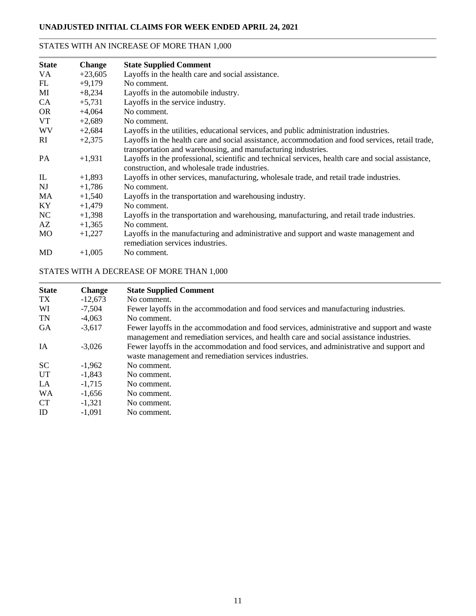### STATES WITH AN INCREASE OF MORE THAN 1,000

| <b>State</b> | <b>Change</b> | <b>State Supplied Comment</b>                                                                                                                                     |
|--------------|---------------|-------------------------------------------------------------------------------------------------------------------------------------------------------------------|
| VA.          | $+23,605$     | Layoffs in the health care and social assistance.                                                                                                                 |
| FL           | $+9,179$      | No comment.                                                                                                                                                       |
| MI           | $+8,234$      | Layoffs in the automobile industry.                                                                                                                               |
| CA           | $+5,731$      | Layoffs in the service industry.                                                                                                                                  |
| <b>OR</b>    | $+4,064$      | No comment.                                                                                                                                                       |
| VT           | $+2,689$      | No comment.                                                                                                                                                       |
| <b>WV</b>    | $+2,684$      | Layoffs in the utilities, educational services, and public administration industries.                                                                             |
| RI           | $+2,375$      | Layoffs in the health care and social assistance, accommodation and food services, retail trade,<br>transportation and warehousing, and manufacturing industries. |
| PA           | $+1,931$      | Layoffs in the professional, scientific and technical services, health care and social assistance,<br>construction, and wholesale trade industries.               |
| IL           | $+1,893$      | Layoffs in other services, manufacturing, wholesale trade, and retail trade industries.                                                                           |
| NJ           | $+1,786$      | No comment.                                                                                                                                                       |
| <b>MA</b>    | $+1,540$      | Layoffs in the transportation and warehousing industry.                                                                                                           |
| KY           | $+1,479$      | No comment.                                                                                                                                                       |
| NC           | $+1,398$      | Layoffs in the transportation and warehousing, manufacturing, and retail trade industries.                                                                        |
| AZ           | $+1,365$      | No comment.                                                                                                                                                       |
| MO           | $+1,227$      | Layoffs in the manufacturing and administrative and support and waste management and<br>remediation services industries.                                          |
| MD           | $+1,005$      | No comment.                                                                                                                                                       |

## STATES WITH A DECREASE OF MORE THAN 1,000

| <b>State</b> | <b>Change</b> | <b>State Supplied Comment</b>                                                                                                                                                        |
|--------------|---------------|--------------------------------------------------------------------------------------------------------------------------------------------------------------------------------------|
| TX           | $-12,673$     | No comment.                                                                                                                                                                          |
| WI           | $-7,504$      | Fewer layoffs in the accommodation and food services and manufacturing industries.                                                                                                   |
| <b>TN</b>    | $-4.063$      | No comment.                                                                                                                                                                          |
| <b>GA</b>    | $-3,617$      | Fewer layoffs in the accommodation and food services, administrative and support and waste<br>management and remediation services, and health care and social assistance industries. |
| <b>IA</b>    | $-3.026$      | Fewer layoffs in the accommodation and food services, and administrative and support and<br>waste management and remediation services industries.                                    |
| <b>SC</b>    | $-1.962$      | No comment.                                                                                                                                                                          |
| UT           | $-1.843$      | No comment.                                                                                                                                                                          |
| LA           | $-1,715$      | No comment.                                                                                                                                                                          |
| WA           | $-1.656$      | No comment.                                                                                                                                                                          |
| <b>CT</b>    | $-1,321$      | No comment.                                                                                                                                                                          |
| ID           | $-1.091$      | No comment.                                                                                                                                                                          |